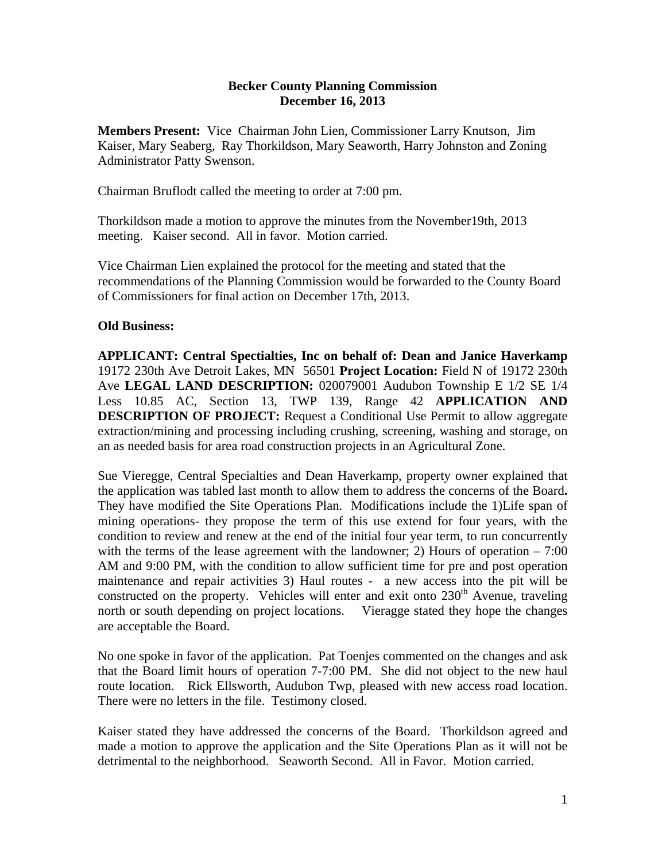## **Becker County Planning Commission December 16, 2013**

**Members Present:** Vice Chairman John Lien, Commissioner Larry Knutson, Jim Kaiser, Mary Seaberg, Ray Thorkildson, Mary Seaworth, Harry Johnston and Zoning Administrator Patty Swenson.

Chairman Bruflodt called the meeting to order at 7:00 pm.

Thorkildson made a motion to approve the minutes from the November19th, 2013 meeting. Kaiser second. All in favor. Motion carried.

Vice Chairman Lien explained the protocol for the meeting and stated that the recommendations of the Planning Commission would be forwarded to the County Board of Commissioners for final action on December 17th, 2013.

## **Old Business:**

**APPLICANT: Central Spectialties, Inc on behalf of: Dean and Janice Haverkamp** 19172 230th Ave Detroit Lakes, MN 56501 **Project Location:** Field N of 19172 230th Ave **LEGAL LAND DESCRIPTION:** 020079001 Audubon Township E 1/2 SE 1/4 Less 10.85 AC, Section 13, TWP 139, Range 42 **APPLICATION AND DESCRIPTION OF PROJECT:** Request a Conditional Use Permit to allow aggregate extraction/mining and processing including crushing, screening, washing and storage, on an as needed basis for area road construction projects in an Agricultural Zone.

Sue Vieregge, Central Specialties and Dean Haverkamp, property owner explained that the application was tabled last month to allow them to address the concerns of the Board**.**  They have modified the Site Operations Plan. Modifications include the 1)Life span of mining operations- they propose the term of this use extend for four years, with the condition to review and renew at the end of the initial four year term, to run concurrently with the terms of the lease agreement with the landowner; 2) Hours of operation  $-7:00$ AM and 9:00 PM, with the condition to allow sufficient time for pre and post operation maintenance and repair activities 3) Haul routes - a new access into the pit will be constructed on the property. Vehicles will enter and exit onto  $230<sup>th</sup>$  Avenue, traveling north or south depending on project locations. Vieragge stated they hope the changes are acceptable the Board.

No one spoke in favor of the application. Pat Toenjes commented on the changes and ask that the Board limit hours of operation 7-7:00 PM. She did not object to the new haul route location. Rick Ellsworth, Audubon Twp, pleased with new access road location. There were no letters in the file. Testimony closed.

Kaiser stated they have addressed the concerns of the Board. Thorkildson agreed and made a motion to approve the application and the Site Operations Plan as it will not be detrimental to the neighborhood. Seaworth Second. All in Favor. Motion carried.